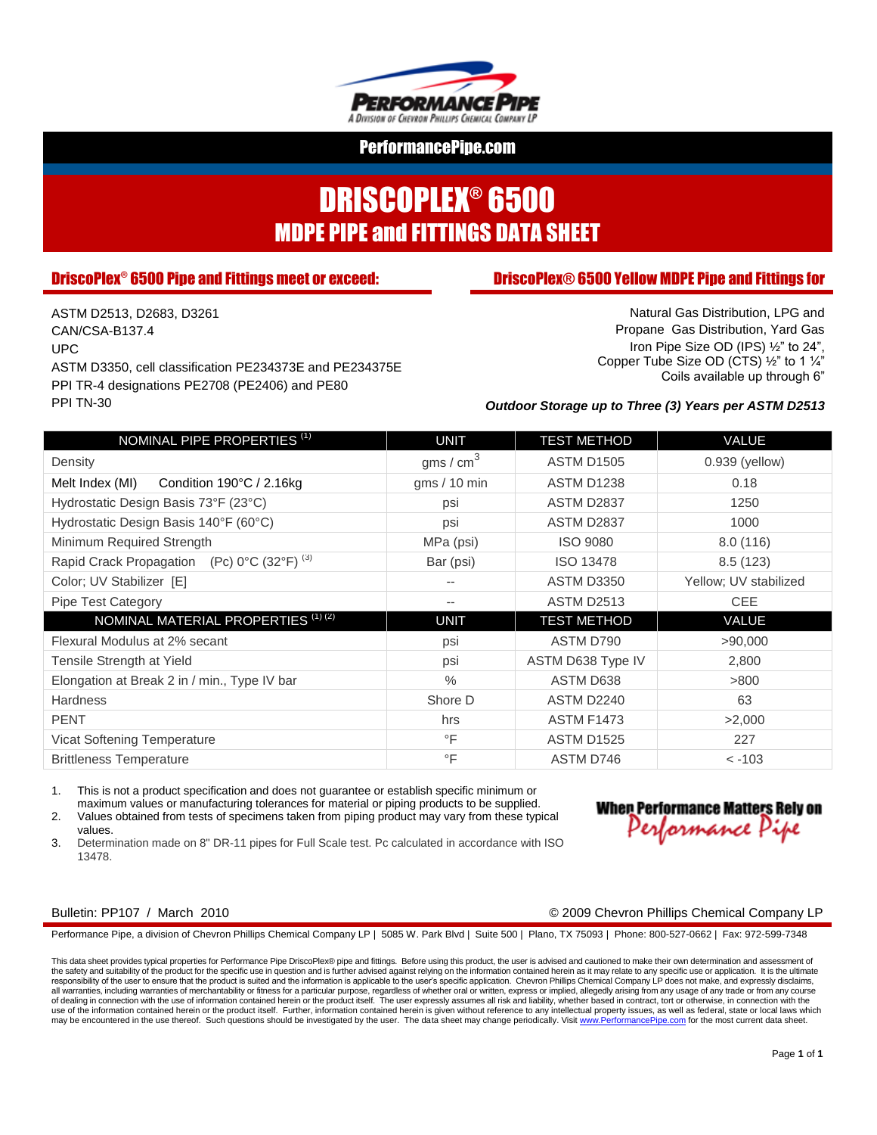

# DRISCOPLEX® 6500 MDPE PIPE and FITTINGS DATA SHEET

### **DriscoPlex<sup>®</sup> 6500 Pipe and Fittings meet or exceed:**

#### **DriscoPlex® 6500 Yellow MDPE Pipe and Fittings for**

ASTM D2513, D2683, D3261 CAN/CSA-B137.4 UPC ASTM D3350, cell classification PE234373E and PE234375E PPI TR-4 designations PE2708 (PE2406) and PE80 PPI TN-30

Natural Gas Distribution, LPG and Propane Gas Distribution, Yard Gas Iron Pipe Size OD (IPS) ½" to 24", Copper Tube Size OD (CTS) ½" to 1 ¼" Coils available up through 6"

#### *Outdoor Storage up to Three (3) Years per ASTM D2513*

| NOMINAL PIPE PROPERTIES <sup>(1)</sup>                 | <b>UNIT</b>    | <b>TEST METHOD</b> | VALUE                 |  |  |
|--------------------------------------------------------|----------------|--------------------|-----------------------|--|--|
| Density                                                | gms / $cm3$    | <b>ASTM D1505</b>  | $0.939$ (yellow)      |  |  |
| Melt Index (MI)<br>Condition $190^{\circ}$ C / 2.16kg  | gms $/ 10$ min | <b>ASTM D1238</b>  | 0.18                  |  |  |
| Hydrostatic Design Basis 73°F (23°C)                   | psi            | ASTM D2837         | 1250                  |  |  |
| Hydrostatic Design Basis 140°F (60°C)                  | psi            | ASTM D2837         | 1000                  |  |  |
| Minimum Required Strength                              | MPa (psi)      | <b>ISO 9080</b>    | 8.0(116)              |  |  |
| Rapid Crack Propagation (Pc) 0°C (32°F) <sup>(3)</sup> | Bar (psi)      | <b>ISO 13478</b>   | 8.5(123)              |  |  |
| Color; UV Stabilizer [E]                               | --             | <b>ASTM D3350</b>  | Yellow; UV stabilized |  |  |
| Pipe Test Category                                     | $- -$          | <b>ASTM D2513</b>  | <b>CEE</b>            |  |  |
| NOMINAL MATERIAL PROPERTIES <sup>(1)(2)</sup>          | <b>UNIT</b>    | <b>TEST METHOD</b> | VALUE                 |  |  |
| Flexural Modulus at 2% secant                          | psi            | ASTM D790          | >90,000               |  |  |
| Tensile Strength at Yield                              | psi            | ASTM D638 Type IV  | 2,800                 |  |  |
| Elongation at Break 2 in / min., Type IV bar           | $\frac{0}{0}$  | ASTM D638          | >800                  |  |  |
| <b>Hardness</b>                                        | Shore D        | <b>ASTM D2240</b>  | 63                    |  |  |
| <b>PENT</b>                                            | hrs            | <b>ASTM F1473</b>  | >2,000                |  |  |
| Vicat Softening Temperature                            | $\circ$ F      | <b>ASTM D1525</b>  | 227                   |  |  |
| <b>Brittleness Temperature</b>                         | $\circ$ F      | ASTM D746          | $< -103$              |  |  |

1. This is not a product specification and does not guarantee or establish specific minimum or maximum values or manufacturing tolerances for material or piping products to be supplied.

2. Values obtained from tests of specimens taken from piping product may vary from these typical values.

3. Determination made on 8" DR-11 pipes for Full Scale test. Pc calculated in accordance with ISO 13478.

### **When Performance Matters Rely on** Performance Pipe

#### Bulletin: PP107 / March 2010 © 2009 Chevron Phillips Chemical Company LP

Performance Pipe, a division of Chevron Phillips Chemical Company LP | 5085 W. Park Blvd | Suite 500 | Plano, TX 75093 | Phone: 800-527-0662 | Fax: 972-599-7348

This data sheet provides typical properties for Performance Pipe DriscoPlex® pipe and fittings. Before using this product, the user is advised and cautioned to make their own determination and assessment of the safety and suitability of the product for the specific use in question and is further advised against relying on the information contained herein as it may relate to any specific use or application. It is the ultimate<br> all warranties, including warranties of merchantability or fitness for a particular purpose, regardless of whether oral or written, express or implied, allegedly arising from any usage of any trade or from any course of dealing in connection with the use of information contained herein or the product itself. The user expressly assumes all risk and liability, whether based in contract, tort or otherwise, in connection with the<br>use of th may be encountered in the use thereof. Such questions should be investigated by the user. The data sheet may change periodically. Visit www.PerformancePipe.com for the most current data sheet.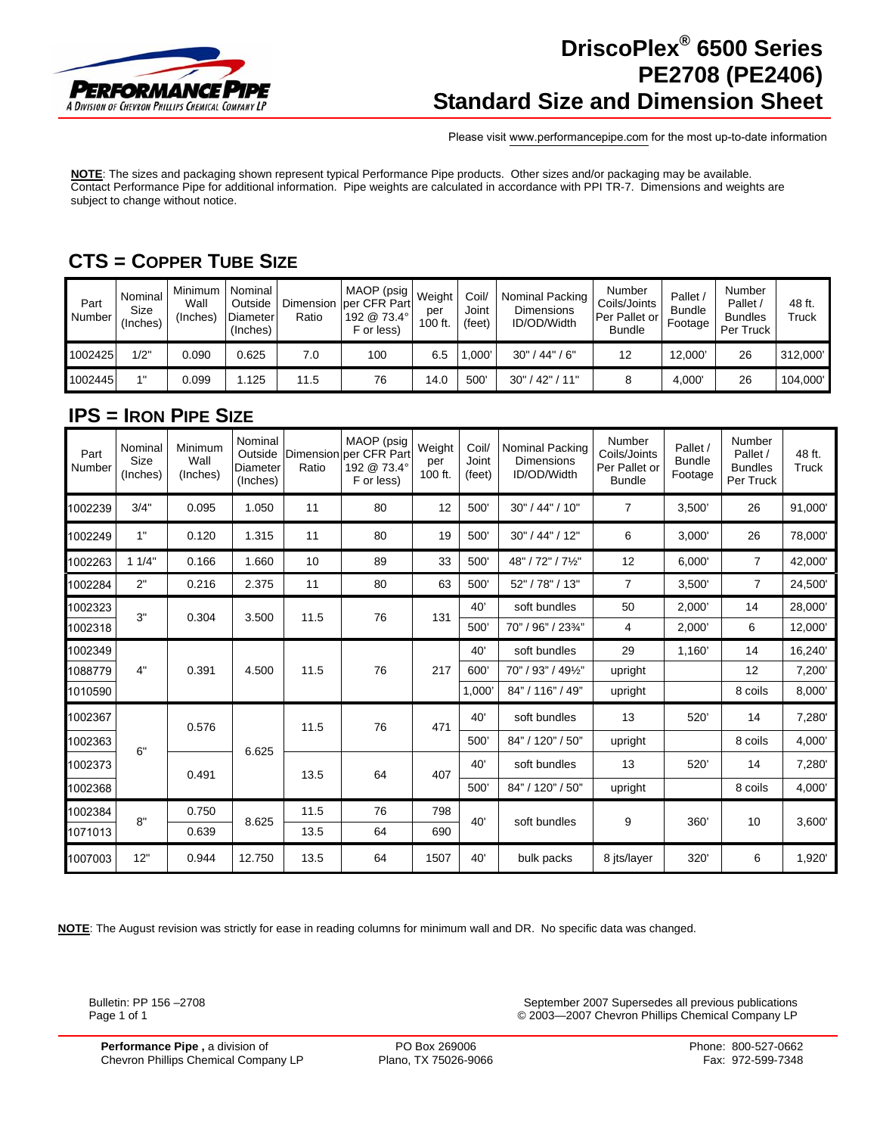

### **DriscoPlex® 6500 Series PE2708 (PE2406) Standard Size and Dimension Sheet**

Please visit www.performancepipe.com for the most up-to-date information

**NOTE**: The sizes and packaging shown represent typical Performance Pipe products. Other sizes and/or packaging may be available. Contact Performance Pipe for additional information. Pipe weights are calculated in accordance with PPI TR-7. Dimensions and weights are subject to change without notice.

### **CTS = COPPER TUBE SIZE**

| Part<br>Number | Nominal<br>Size<br>(Inches) | Minimum<br>Wall<br>(Inches) | Nominal<br>Outside<br><b>Diameter</b><br>(Inches) | Dimension<br>Ratio | MAOP (psig<br>per CFR Part<br>192 @ 73.4°<br>F or less) | Weight<br>per<br>100 ft. | Coil<br>Joint<br>(feet) | Nominal Packing<br><b>Dimensions</b><br>ID/OD/Width | Number<br>Coils/Joints<br>Per Pallet or<br><b>Bundle</b> | <b>Pallet</b><br><b>Bundle</b><br>Footage | Number<br>Pallet<br><b>Bundles</b><br>Per Truck | 48 ft.<br>Truck |
|----------------|-----------------------------|-----------------------------|---------------------------------------------------|--------------------|---------------------------------------------------------|--------------------------|-------------------------|-----------------------------------------------------|----------------------------------------------------------|-------------------------------------------|-------------------------------------------------|-----------------|
| 1002425        | 1/2"                        | 0.090                       | 0.625                                             | 7.0                | 100                                                     | 6.5                      | 000'                    | (44" / 6"<br>30"                                    | 12                                                       | 12,000                                    | 26                                              | 312,000'        |
| 1002445        |                             | 0.099                       | .125                                              | 11.5               | 76                                                      | 14.0                     | 500                     | 42"<br>30"<br>11"                                   |                                                          | 4,000                                     | 26                                              | 104,000'        |

### **IPS = IRON PIPE SIZE**

| Part<br>Number | Nominal<br>Size<br>(Inches) | Minimum<br>Wall<br>(Inches) | Nominal<br>Outside<br>Diameter<br>(Inches) | Dimension<br>Ratio | MAOP (psig<br>per CFR Part<br>192 @ 73.4°<br>F or less) | Weight<br>per<br>100 ft. | Coil/<br>Joint<br>(feet) | Nominal Packing<br><b>Dimensions</b><br>ID/OD/Width | Number<br>Coils/Joints<br>Per Pallet or<br><b>Bundle</b> | Pallet /<br><b>Bundle</b><br>Footage | Number<br>Pallet /<br><b>Bundles</b><br>Per Truck | 48 ft.<br>Truck |
|----------------|-----------------------------|-----------------------------|--------------------------------------------|--------------------|---------------------------------------------------------|--------------------------|--------------------------|-----------------------------------------------------|----------------------------------------------------------|--------------------------------------|---------------------------------------------------|-----------------|
| 1002239        | 3/4"                        | 0.095                       | 1.050                                      | 11                 | 80                                                      | 12                       | 500'                     | 30" / 44" / 10"                                     | $\overline{7}$                                           | 3,500'                               | 26                                                | 91,000          |
| 1002249        | 1"                          | 0.120                       | 1.315                                      | 11                 | 80                                                      | 19                       | 500'                     | 30" / 44" / 12"                                     | 6                                                        | 3,000'                               | 26                                                | 78,000'         |
| 1002263        | 11/4"                       | 0.166                       | 1.660                                      | 10                 | 89                                                      | 33                       | 500'                     | 48" / 72" / 71/2"                                   | 12                                                       | 6,000'                               | $\overline{7}$                                    | 42,000'         |
| 1002284        | 2"                          | 0.216                       | 2.375                                      | 11                 | 80                                                      | 63                       | 500'                     | 52" / 78" / 13"                                     | $\overline{7}$                                           | 3,500'                               | $\overline{7}$                                    | 24,500'         |
| 1002323        | 3"                          | 0.304                       | 3.500                                      | 11.5               | 76                                                      | 131                      | 40'                      | soft bundles                                        | 50                                                       | 2,000'                               | 14                                                | 28,000          |
| 1002318        |                             |                             |                                            |                    |                                                         |                          | 500                      | 70" / 96" / 23%"                                    | 4                                                        | 2,000'                               | 6                                                 | 12,000          |
| 1002349        |                             | 0.391                       | 4.500                                      | 11.5               | 76                                                      | 217                      | 40'                      | soft bundles                                        | 29                                                       | 1,160'                               | 14                                                | 16,240          |
| 1088779        | 4"                          |                             |                                            |                    |                                                         |                          | 600'                     | 70" / 93" / 491/2"                                  | upright                                                  |                                      | 12                                                | 7,200           |
| 1010590        |                             |                             |                                            |                    |                                                         |                          | 1,000                    | 84" / 116" / 49"                                    | upright                                                  |                                      | 8 coils                                           | 8,000           |
| 1002367        |                             | 0.576                       | 6.625                                      | 11.5               | 76                                                      | 471                      | 40'                      | soft bundles                                        | 13                                                       | 520'                                 | 14                                                | 7,280           |
| 1002363        | 6"                          |                             |                                            |                    |                                                         |                          | 500                      | 84" / 120" / 50"                                    | upright                                                  |                                      | 8 coils                                           | 4.000           |
| 1002373        |                             | 0.491                       |                                            | 13.5               | 64                                                      | 407                      | 40'                      | soft bundles                                        | 13                                                       | 520'                                 | 14                                                | 7,280           |
| 1002368        |                             |                             |                                            |                    |                                                         |                          | 500'                     | 84" / 120" / 50"                                    | upright                                                  |                                      | 8 coils                                           | 4,000           |
| 1002384        | 8"                          | 0.750                       | 8.625                                      | 11.5               | 76                                                      | 798<br>690               | 40'                      | soft bundles                                        | 9                                                        | 360'                                 | 10                                                | 3,600'          |
| 1071013        |                             | 0.639                       |                                            | 13.5               | 64                                                      |                          |                          |                                                     |                                                          |                                      |                                                   |                 |
| 1007003        | 12"                         | 0.944                       | 12.750                                     | 13.5               | 64                                                      | 1507                     | 40'                      | bulk packs                                          | 8 its/layer                                              | 320'                                 | 6                                                 | 1,920           |

**NOTE**: The August revision was strictly for ease in reading columns for minimum wall and DR. No specific data was changed.

Bulletin: PP 156 –2708 September 2007 Supersedes all previous publications Page 1 of 1 © 2003—2007 Chevron Phillips Chemical Company LP

**Performance Pipe** , a division of **PO Box 269006** Phone: 800-527-0662<br>Chevron Phillips Chemical Company LP Plano, TX 75026-9066 Phone: 800-527-0662 Chevron Phillips Chemical Company LP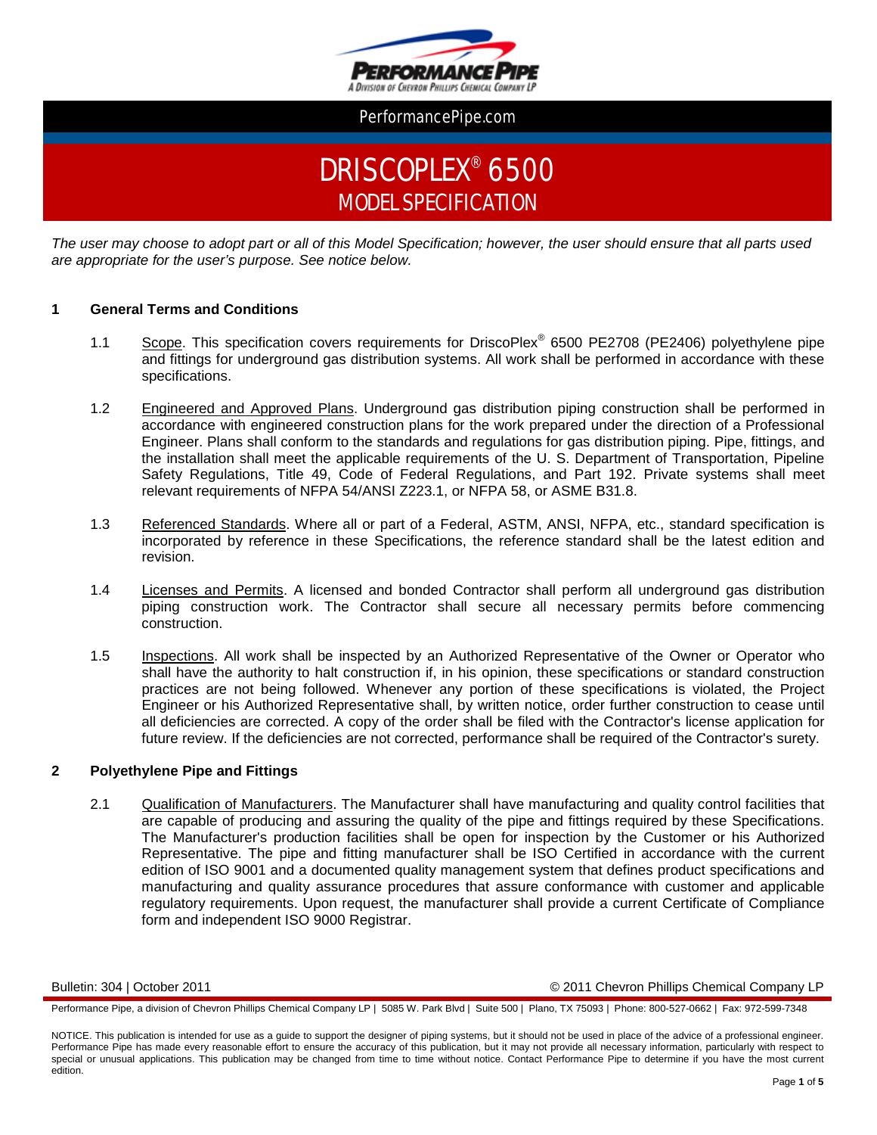

# DRISCOPLEX® 6500 MODEL SPECIFICATION

*The user may choose to adopt part or all of this Model Specification; however, the user should ensure that all parts used are appropriate for the user's purpose. See notice below.*

#### **1 General Terms and Conditions**

- 1.1 Scope. This specification covers requirements for DriscoPlex<sup>®</sup> 6500 PE2708 (PE2406) polyethylene pipe and fittings for underground gas distribution systems. All work shall be performed in accordance with these specifications.
- 1.2 Engineered and Approved Plans. Underground gas distribution piping construction shall be performed in accordance with engineered construction plans for the work prepared under the direction of a Professional Engineer. Plans shall conform to the standards and regulations for gas distribution piping. Pipe, fittings, and the installation shall meet the applicable requirements of the U. S. Department of Transportation, Pipeline Safety Regulations, Title 49, Code of Federal Regulations, and Part 192. Private systems shall meet relevant requirements of NFPA 54/ANSI Z223.1, or NFPA 58, or ASME B31.8.
- 1.3 Referenced Standards. Where all or part of a Federal, ASTM, ANSI, NFPA, etc., standard specification is incorporated by reference in these Specifications, the reference standard shall be the latest edition and revision.
- 1.4 Licenses and Permits. A licensed and bonded Contractor shall perform all underground gas distribution piping construction work. The Contractor shall secure all necessary permits before commencing construction.
- 1.5 Inspections. All work shall be inspected by an Authorized Representative of the Owner or Operator who shall have the authority to halt construction if, in his opinion, these specifications or standard construction practices are not being followed. Whenever any portion of these specifications is violated, the Project Engineer or his Authorized Representative shall, by written notice, order further construction to cease until all deficiencies are corrected. A copy of the order shall be filed with the Contractor's license application for future review. If the deficiencies are not corrected, performance shall be required of the Contractor's surety.

#### **2 Polyethylene Pipe and Fittings**

2.1 Qualification of Manufacturers. The Manufacturer shall have manufacturing and quality control facilities that are capable of producing and assuring the quality of the pipe and fittings required by these Specifications. The Manufacturer's production facilities shall be open for inspection by the Customer or his Authorized Representative. The pipe and fitting manufacturer shall be ISO Certified in accordance with the current edition of ISO 9001 and a documented quality management system that defines product specifications and manufacturing and quality assurance procedures that assure conformance with customer and applicable regulatory requirements. Upon request, the manufacturer shall provide a current Certificate of Compliance form and independent ISO 9000 Registrar.

Bulletin: 304 | October 2011 © 2011 Chevron Phillips Chemical Company LP

Performance Pipe, a division of Chevron Phillips Chemical Company LP | 5085 W. Park Blvd | Suite 500 | Plano, TX 75093 | Phone: 800-527-0662 | Fax: 972-599-7348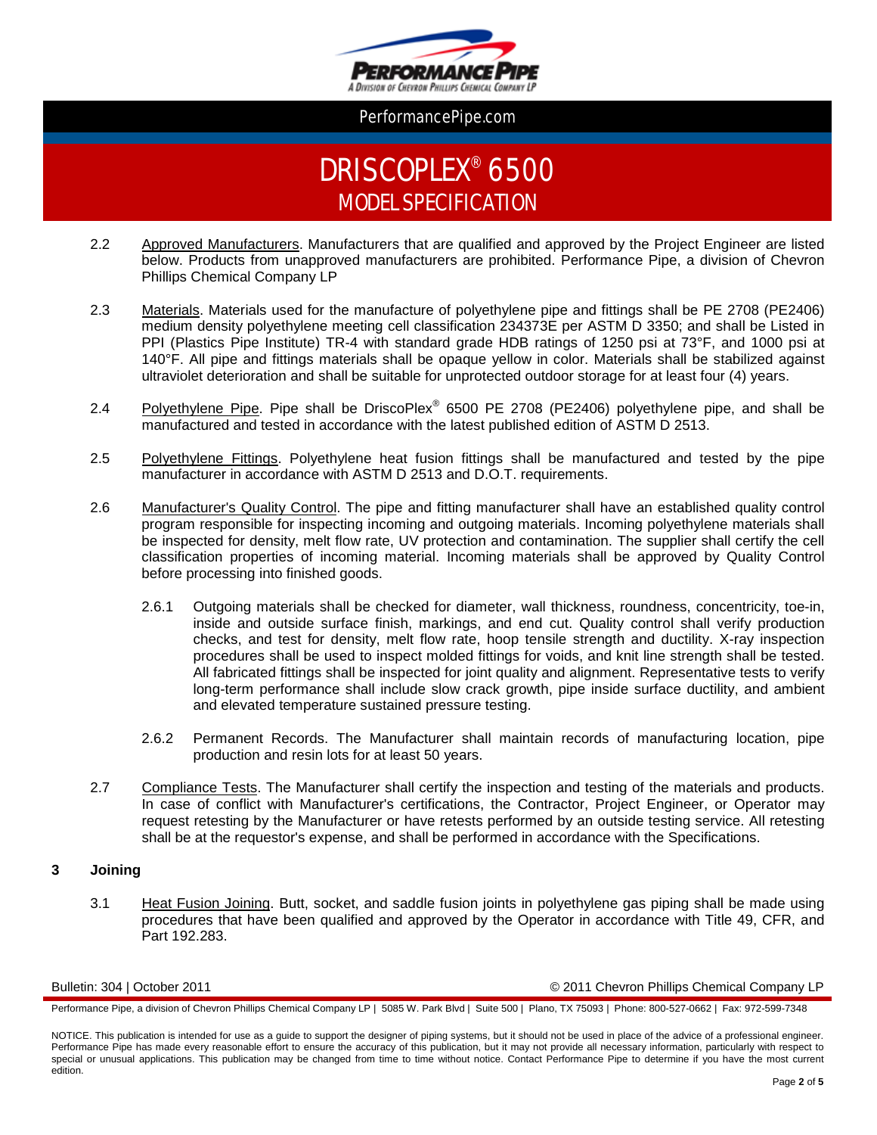

# DRISCOPLEX® 6500 MODEL SPECIFICATION

- 2.2 Approved Manufacturers. Manufacturers that are qualified and approved by the Project Engineer are listed below. Products from unapproved manufacturers are prohibited. Performance Pipe, a division of Chevron Phillips Chemical Company LP
- 2.3 Materials. Materials used for the manufacture of polyethylene pipe and fittings shall be PE 2708 (PE2406) medium density polyethylene meeting cell classification 234373E per ASTM D 3350; and shall be Listed in PPI (Plastics Pipe Institute) TR-4 with standard grade HDB ratings of 1250 psi at 73°F, and 1000 psi at 140°F. All pipe and fittings materials shall be opaque yellow in color. Materials shall be stabilized against ultraviolet deterioration and shall be suitable for unprotected outdoor storage for at least four (4) years.
- 2.4 Polyethylene Pipe. Pipe shall be DriscoPlex<sup>®</sup> 6500 PE 2708 (PE2406) polyethylene pipe, and shall be manufactured and tested in accordance with the latest published edition of ASTM D 2513.
- 2.5 Polyethylene Fittings. Polyethylene heat fusion fittings shall be manufactured and tested by the pipe manufacturer in accordance with ASTM D 2513 and D.O.T. requirements.
- 2.6 Manufacturer's Quality Control. The pipe and fitting manufacturer shall have an established quality control program responsible for inspecting incoming and outgoing materials. Incoming polyethylene materials shall be inspected for density, melt flow rate, UV protection and contamination. The supplier shall certify the cell classification properties of incoming material. Incoming materials shall be approved by Quality Control before processing into finished goods.
	- 2.6.1 Outgoing materials shall be checked for diameter, wall thickness, roundness, concentricity, toe-in, inside and outside surface finish, markings, and end cut. Quality control shall verify production checks, and test for density, melt flow rate, hoop tensile strength and ductility. X-ray inspection procedures shall be used to inspect molded fittings for voids, and knit line strength shall be tested. All fabricated fittings shall be inspected for joint quality and alignment. Representative tests to verify long-term performance shall include slow crack growth, pipe inside surface ductility, and ambient and elevated temperature sustained pressure testing.
	- 2.6.2 Permanent Records. The Manufacturer shall maintain records of manufacturing location, pipe production and resin lots for at least 50 years.
- 2.7 Compliance Tests. The Manufacturer shall certify the inspection and testing of the materials and products. In case of conflict with Manufacturer's certifications, the Contractor, Project Engineer, or Operator may request retesting by the Manufacturer or have retests performed by an outside testing service. All retesting shall be at the requestor's expense, and shall be performed in accordance with the Specifications.

#### **3 Joining**

3.1 Heat Fusion Joining. Butt, socket, and saddle fusion joints in polyethylene gas piping shall be made using procedures that have been qualified and approved by the Operator in accordance with Title 49, CFR, and Part 192.283.

Bulletin: 304 | October 2011 © 2011 Chevron Phillips Chemical Company LP

Performance Pipe, a division of Chevron Phillips Chemical Company LP | 5085 W. Park Blvd | Suite 500 | Plano, TX 75093 | Phone: 800-527-0662 | Fax: 972-599-7348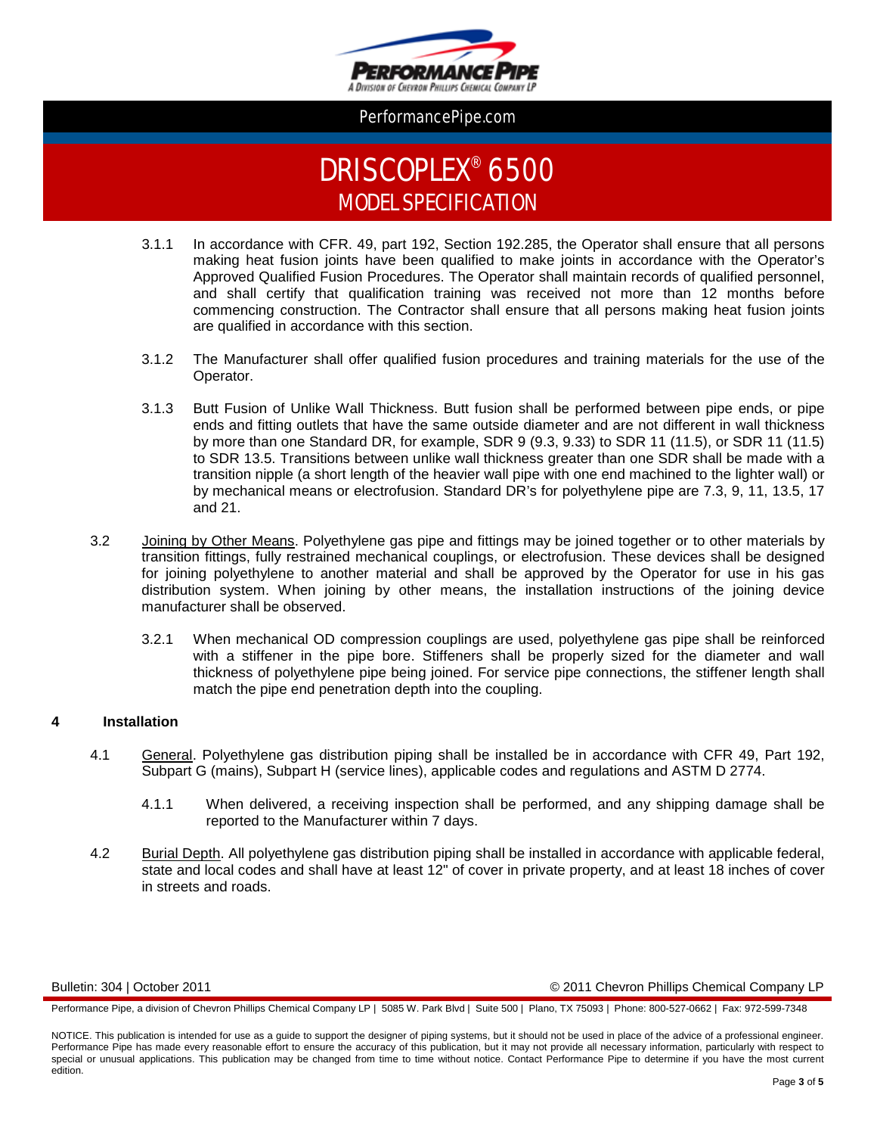

# DRISCOPLEX® 6500 MODEL SPECIFICATION

- 3.1.1 In accordance with CFR. 49, part 192, Section 192.285, the Operator shall ensure that all persons making heat fusion joints have been qualified to make joints in accordance with the Operator's Approved Qualified Fusion Procedures. The Operator shall maintain records of qualified personnel, and shall certify that qualification training was received not more than 12 months before commencing construction. The Contractor shall ensure that all persons making heat fusion joints are qualified in accordance with this section.
- 3.1.2 The Manufacturer shall offer qualified fusion procedures and training materials for the use of the Operator.
- 3.1.3 Butt Fusion of Unlike Wall Thickness. Butt fusion shall be performed between pipe ends, or pipe ends and fitting outlets that have the same outside diameter and are not different in wall thickness by more than one Standard DR, for example, SDR 9 (9.3, 9.33) to SDR 11 (11.5), or SDR 11 (11.5) to SDR 13.5. Transitions between unlike wall thickness greater than one SDR shall be made with a transition nipple (a short length of the heavier wall pipe with one end machined to the lighter wall) or by mechanical means or electrofusion. Standard DR's for polyethylene pipe are 7.3, 9, 11, 13.5, 17 and 21.
- 3.2 Joining by Other Means. Polyethylene gas pipe and fittings may be joined together or to other materials by transition fittings, fully restrained mechanical couplings, or electrofusion. These devices shall be designed for joining polyethylene to another material and shall be approved by the Operator for use in his gas distribution system. When joining by other means, the installation instructions of the joining device manufacturer shall be observed.
	- 3.2.1 When mechanical OD compression couplings are used, polyethylene gas pipe shall be reinforced with a stiffener in the pipe bore. Stiffeners shall be properly sized for the diameter and wall thickness of polyethylene pipe being joined. For service pipe connections, the stiffener length shall match the pipe end penetration depth into the coupling.

#### **4 Installation**

- 4.1 General. Polyethylene gas distribution piping shall be installed be in accordance with CFR 49, Part 192, Subpart G (mains), Subpart H (service lines), applicable codes and regulations and ASTM D 2774.
	- 4.1.1 When delivered, a receiving inspection shall be performed, and any shipping damage shall be reported to the Manufacturer within 7 days.
- 4.2 Burial Depth. All polyethylene gas distribution piping shall be installed in accordance with applicable federal, state and local codes and shall have at least 12" of cover in private property, and at least 18 inches of cover in streets and roads.

#### Bulletin: 304 | October 2011 © 2011 Chevron Phillips Chemical Company LP

Performance Pipe, a division of Chevron Phillips Chemical Company LP | 5085 W. Park Blvd | Suite 500 | Plano, TX 75093 | Phone: 800-527-0662 | Fax: 972-599-7348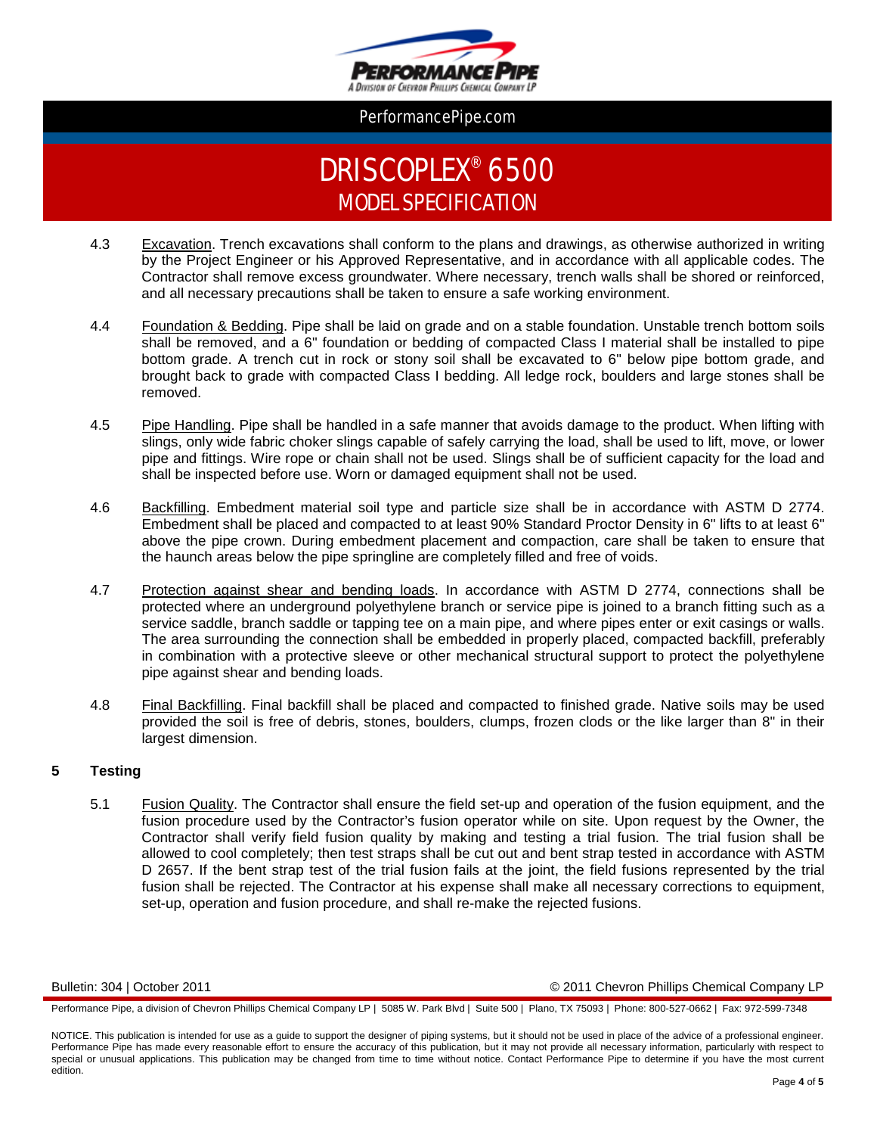

# DRISCOPLEX® 6500 MODEL SPECIFICATION

- 4.3 Excavation. Trench excavations shall conform to the plans and drawings, as otherwise authorized in writing by the Project Engineer or his Approved Representative, and in accordance with all applicable codes. The Contractor shall remove excess groundwater. Where necessary, trench walls shall be shored or reinforced, and all necessary precautions shall be taken to ensure a safe working environment.
- 4.4 Foundation & Bedding. Pipe shall be laid on grade and on a stable foundation. Unstable trench bottom soils shall be removed, and a 6" foundation or bedding of compacted Class I material shall be installed to pipe bottom grade. A trench cut in rock or stony soil shall be excavated to 6" below pipe bottom grade, and brought back to grade with compacted Class I bedding. All ledge rock, boulders and large stones shall be removed.
- 4.5 Pipe Handling. Pipe shall be handled in a safe manner that avoids damage to the product. When lifting with slings, only wide fabric choker slings capable of safely carrying the load, shall be used to lift, move, or lower pipe and fittings. Wire rope or chain shall not be used. Slings shall be of sufficient capacity for the load and shall be inspected before use. Worn or damaged equipment shall not be used.
- 4.6 Backfilling. Embedment material soil type and particle size shall be in accordance with ASTM D 2774. Embedment shall be placed and compacted to at least 90% Standard Proctor Density in 6" lifts to at least 6" above the pipe crown. During embedment placement and compaction, care shall be taken to ensure that the haunch areas below the pipe springline are completely filled and free of voids.
- 4.7 Protection against shear and bending loads. In accordance with ASTM D 2774, connections shall be protected where an underground polyethylene branch or service pipe is joined to a branch fitting such as a service saddle, branch saddle or tapping tee on a main pipe, and where pipes enter or exit casings or walls. The area surrounding the connection shall be embedded in properly placed, compacted backfill, preferably in combination with a protective sleeve or other mechanical structural support to protect the polyethylene pipe against shear and bending loads.
- 4.8 Final Backfilling. Final backfill shall be placed and compacted to finished grade. Native soils may be used provided the soil is free of debris, stones, boulders, clumps, frozen clods or the like larger than 8" in their largest dimension.

#### **5 Testing**

5.1 **Fusion Quality.** The Contractor shall ensure the field set-up and operation of the fusion equipment, and the fusion procedure used by the Contractor's fusion operator while on site. Upon request by the Owner, the Contractor shall verify field fusion quality by making and testing a trial fusion. The trial fusion shall be allowed to cool completely; then test straps shall be cut out and bent strap tested in accordance with ASTM D 2657. If the bent strap test of the trial fusion fails at the joint, the field fusions represented by the trial fusion shall be rejected. The Contractor at his expense shall make all necessary corrections to equipment, set-up, operation and fusion procedure, and shall re-make the rejected fusions.

Bulletin: 304 | October 2011 © 2011 Chevron Phillips Chemical Company LP

Performance Pipe, a division of Chevron Phillips Chemical Company LP | 5085 W. Park Blvd | Suite 500 | Plano, TX 75093 | Phone: 800-527-0662 | Fax: 972-599-7348